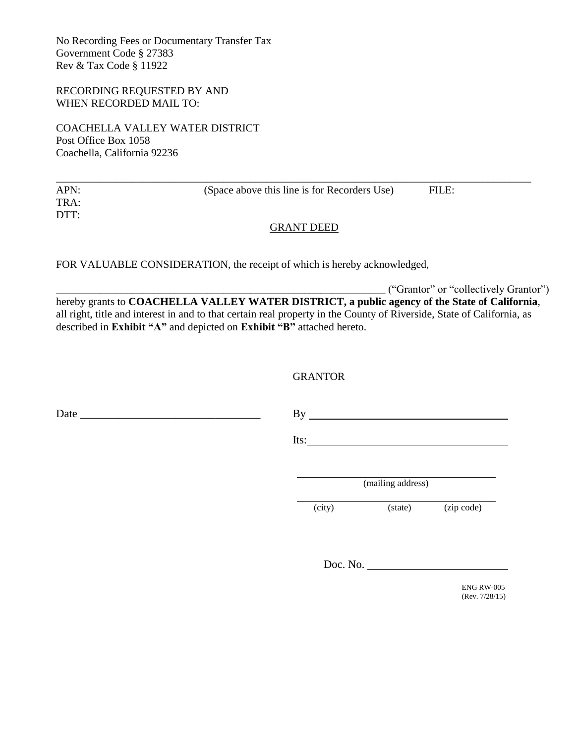No Recording Fees or Documentary Transfer Tax Government Code § 27383 Rev & Tax Code § 11922

RECORDING REQUESTED BY AND WHEN RECORDED MAIL TO:

COACHELLA VALLEY WATER DISTRICT Post Office Box 1058 Coachella, California 92236

| APN: | (Space above this line is for Recorders Use) | FILE: |  |
|------|----------------------------------------------|-------|--|
| TRA: |                                              |       |  |
| DTT: |                                              |       |  |

## GRANT DEED

FOR VALUABLE CONSIDERATION, the receipt of which is hereby acknowledged,

\_\_\_\_\_\_\_\_\_\_\_\_\_\_\_\_\_\_\_\_\_\_\_\_\_\_\_\_\_\_\_\_\_\_\_\_\_\_\_\_\_\_\_\_\_\_\_\_\_\_\_\_\_\_\_\_\_\_\_\_\_ ("Grantor" or "collectively Grantor") hereby grants to **COACHELLA VALLEY WATER DISTRICT, a public agency of the State of California**, all right, title and interest in and to that certain real property in the County of Riverside, State of California, as described in **Exhibit "A"** and depicted on **Exhibit "B"** attached hereto.

## **GRANTOR**

Date \_\_\_\_\_\_\_\_\_\_\_\_\_\_\_\_\_\_\_\_\_\_\_\_\_\_\_\_\_\_\_\_ By

Its:

(mailing address)

(city) (state) (zip code)

Doc. No.

ENG RW-005 (Rev. 7/28/15)